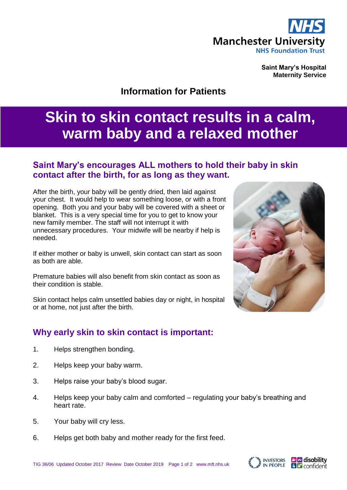

**Saint Mary's Hospital Maternity Service**

# **Information for Patients**

# **Skin to skin contact results in a calm, warm baby and a relaxed mother**

## **Saint Mary's encourages ALL mothers to hold their baby in skin contact after the birth, for as long as they want.**

After the birth, your baby will be gently dried, then laid against your chest. It would help to wear something loose, or with a front opening. Both you and your baby will be covered with a sheet or blanket. This is a very special time for you to get to know your new family member. The staff will not interrupt it with unnecessary procedures. Your midwife will be nearby if help is needed.

If either mother or baby is unwell, skin contact can start as soon as both are able.

Premature babies will also benefit from skin contact as soon as their condition is stable.

Skin contact helps calm unsettled babies day or night, in hospital or at home, not just after the birth.

#### **Why early skin to skin contact is important:**

- 1. Helps strengthen bonding.
- 2. Helps keep your baby warm.
- 3. Helps raise your baby's blood sugar.
- 4. Helps keep your baby calm and comforted regulating your baby's breathing and heart rate.
- 5. Your baby will cry less.
- 6. Helps get both baby and mother ready for the first feed.